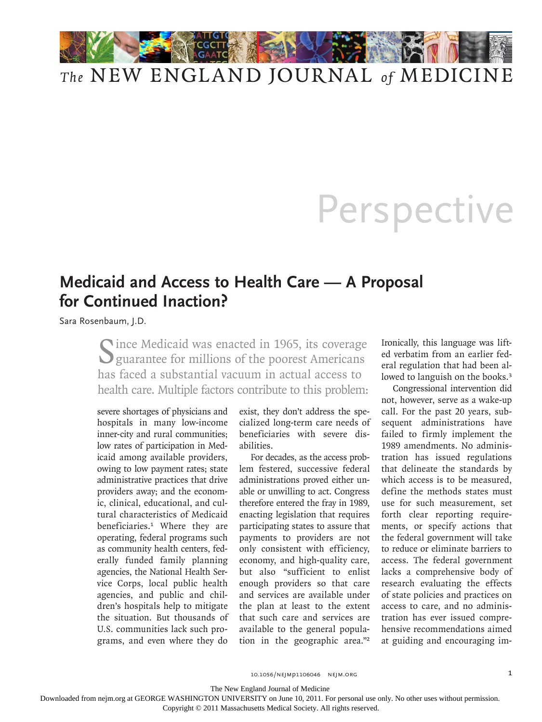

## *The* NEW ENGLAND JOURNAL *of* MEDICINE

## Perspective

## **Medicaid and Access to Health Care — A Proposal for Continued Inaction?**

Sara Rosenbaum, J.D.

Since Medicaid was enacted in 1965, its coverage<br>
guarantee for millions of the poorest Americans has faced a substantial vacuum in actual access to health care. Multiple factors contribute to this problem:

severe shortages of physicians and hospitals in many low-income inner-city and rural communities; low rates of participation in Medicaid among available providers, owing to low payment rates; state administrative practices that drive providers away; and the economic, clinical, educational, and cultural characteristics of Medicaid beneficiaries.<sup>1</sup> Where they are operating, federal programs such as community health centers, federally funded family planning agencies, the National Health Service Corps, local public health agencies, and public and children's hospitals help to mitigate the situation. But thousands of U.S. communities lack such programs, and even where they do

exist, they don't address the specialized long-term care needs of beneficiaries with severe disabilities.

For decades, as the access problem festered, successive federal administrations proved either unable or unwilling to act. Congress therefore entered the fray in 1989, enacting legislation that requires participating states to assure that payments to providers are not only consistent with efficiency, economy, and high-quality care, but also "sufficient to enlist enough providers so that care and services are available under the plan at least to the extent that such care and services are available to the general population in the geographic area."<sup>2</sup>

Ironically, this language was lifted verbatim from an earlier federal regulation that had been allowed to languish on the books.<sup>3</sup>

Congressional intervention did not, however, serve as a wake-up call. For the past 20 years, subsequent administrations have failed to firmly implement the 1989 amendments. No administration has issued regulations that delineate the standards by which access is to be measured, define the methods states must use for such measurement, set forth clear reporting requirements, or specify actions that the federal government will take to reduce or eliminate barriers to access. The federal government lacks a comprehensive body of research evaluating the effects of state policies and practices on access to care, and no administration has ever issued comprehensive recommendations aimed at guiding and encouraging im-

10.1056/nejmp1106046 nejm.org 1

The New England Journal of Medicine

Downloaded from nejm.org at GEORGE WASHINGTON UNIVERSITY on June 10, 2011. For personal use only. No other uses without permission.

Copyright © 2011 Massachusetts Medical Society. All rights reserved.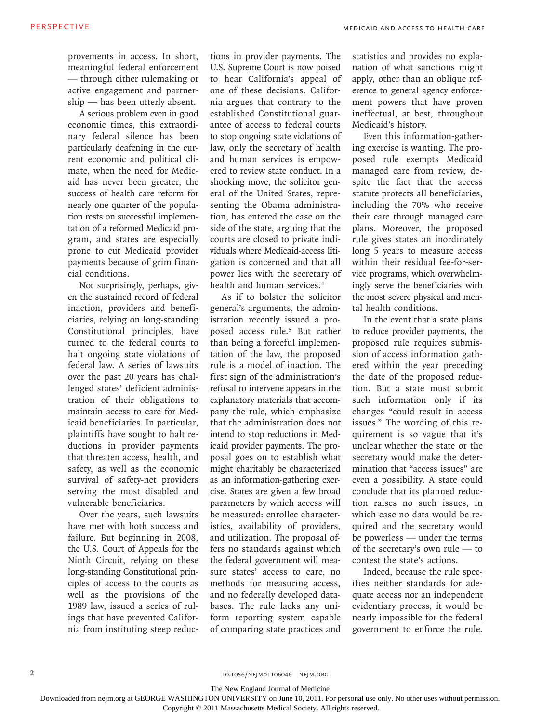provements in access. In short, meaningful federal enforcement — through either rulemaking or active engagement and partnership — has been utterly absent.

A serious problem even in good economic times, this extraordinary federal silence has been particularly deafening in the current economic and political climate, when the need for Medicaid has never been greater, the success of health care reform for nearly one quarter of the population rests on successful implementation of a reformed Medicaid program, and states are especially prone to cut Medicaid provider payments because of grim financial conditions.

Not surprisingly, perhaps, given the sustained record of federal inaction, providers and beneficiaries, relying on long-standing Constitutional principles, have turned to the federal courts to halt ongoing state violations of federal law. A series of lawsuits over the past 20 years has challenged states' deficient administration of their obligations to maintain access to care for Medicaid beneficiaries. In particular, plaintiffs have sought to halt reductions in provider payments that threaten access, health, and safety, as well as the economic survival of safety-net providers serving the most disabled and vulnerable beneficiaries.

Over the years, such lawsuits have met with both success and failure. But beginning in 2008, the U.S. Court of Appeals for the Ninth Circuit, relying on these long-standing Constitutional principles of access to the courts as well as the provisions of the 1989 law, issued a series of rulings that have prevented California from instituting steep reductions in provider payments. The U.S. Supreme Court is now poised to hear California's appeal of one of these decisions. California argues that contrary to the established Constitutional guarantee of access to federal courts to stop ongoing state violations of law, only the secretary of health and human services is empowered to review state conduct. In a shocking move, the solicitor general of the United States, representing the Obama administration, has entered the case on the side of the state, arguing that the courts are closed to private individuals where Medicaid-access litigation is concerned and that all power lies with the secretary of health and human services.<sup>4</sup>

As if to bolster the solicitor general's arguments, the administration recently issued a proposed access rule.5 But rather than being a forceful implementation of the law, the proposed rule is a model of inaction. The first sign of the administration's refusal to intervene appears in the explanatory materials that accompany the rule, which emphasize that the administration does not intend to stop reductions in Medicaid provider payments. The proposal goes on to establish what might charitably be characterized as an information-gathering exercise. States are given a few broad parameters by which access will be measured: enrollee characteristics, availability of providers, and utilization. The proposal offers no standards against which the federal government will measure states' access to care, no methods for measuring access, and no federally developed databases. The rule lacks any uniform reporting system capable of comparing state practices and statistics and provides no explanation of what sanctions might apply, other than an oblique reference to general agency enforcement powers that have proven ineffectual, at best, throughout Medicaid's history.

Even this information-gathering exercise is wanting. The proposed rule exempts Medicaid managed care from review, despite the fact that the access statute protects all beneficiaries, including the 70% who receive their care through managed care plans. Moreover, the proposed rule gives states an inordinately long 5 years to measure access within their residual fee-for-service programs, which overwhelmingly serve the beneficiaries with the most severe physical and mental health conditions.

In the event that a state plans to reduce provider payments, the proposed rule requires submission of access information gathered within the year preceding the date of the proposed reduction. But a state must submit such information only if its changes "could result in access issues." The wording of this requirement is so vague that it's unclear whether the state or the secretary would make the determination that "access issues" are even a possibility. A state could conclude that its planned reduction raises no such issues, in which case no data would be required and the secretary would be powerless — under the terms of the secretary's own rule — to contest the state's actions.

Indeed, because the rule specifies neither standards for adequate access nor an independent evidentiary process, it would be nearly impossible for the federal government to enforce the rule.

The New England Journal of Medicine

Downloaded from nejm.org at GEORGE WASHINGTON UNIVERSITY on June 10, 2011. For personal use only. No other uses without permission.

Copyright © 2011 Massachusetts Medical Society. All rights reserved.